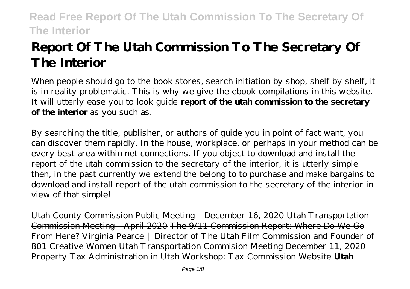# **Report Of The Utah Commission To The Secretary Of The Interior**

When people should go to the book stores, search initiation by shop, shelf by shelf, it is in reality problematic. This is why we give the ebook compilations in this website. It will utterly ease you to look guide **report of the utah commission to the secretary of the interior** as you such as.

By searching the title, publisher, or authors of guide you in point of fact want, you can discover them rapidly. In the house, workplace, or perhaps in your method can be every best area within net connections. If you object to download and install the report of the utah commission to the secretary of the interior, it is utterly simple then, in the past currently we extend the belong to to purchase and make bargains to download and install report of the utah commission to the secretary of the interior in view of that simple!

*Utah County Commission Public Meeting - December 16, 2020* Utah Transportation Commission Meeting - April 2020 The 9/11 Commission Report: Where Do We Go From Here? *Virginia Pearce | Director of The Utah Film Commission and Founder of 801 Creative Women Utah Transportation Commision Meeting December 11, 2020 Property Tax Administration in Utah Workshop: Tax Commission Website* **Utah**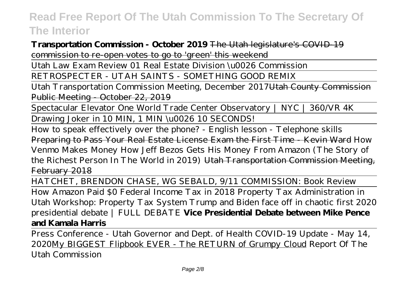### **Transportation Commission - October 2019** The Utah legislature's COVID-19 commission to re-open votes to go to 'green' this weekend

Utah Law Exam Review 01 Real Estate Division \u0026 Commission

RETROSPECTER - UTAH SAINTS - SOMETHING GOOD REMIX

Utah Transportation Commission Meeting, December 2017Utah County Commission Public Meeting - October 22, 2019

Spectacular Elevator One World Trade Center Observatory | NYC | 360/VR 4K Drawing Joker in 10 MIN, 1 MIN \u0026 10 SECONDS!

How to speak effectively over the phone? - English lesson - Telephone skills Preparing to Pass Your Real Estate License Exam the First Time - Kevin Ward *How Venmo Makes Money* How Jeff Bezos Gets His Money From Amazon (The Story of the Richest Person In The World in 2019) Utah Transportation Commission Meeting, February 2018

HATCHET, BRENDON CHASE, WG SEBALD, 9/11 COMMISSION: Book Review

How Amazon Paid \$0 Federal Income Tax in 2018 Property Tax Administration in Utah Workshop: Property Tax System *Trump and Biden face off in chaotic first 2020 presidential debate | FULL DEBATE* **Vice Presidential Debate between Mike Pence and Kamala Harris**

Press Conference - Utah Governor and Dept. of Health COVID-19 Update - May 14, 2020My BIGGEST Flipbook EVER - The RETURN of Grumpy Cloud *Report Of The Utah Commission*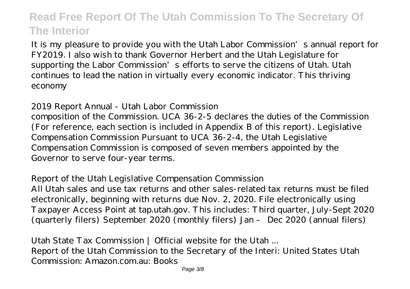It is my pleasure to provide you with the Utah Labor Commission's annual report for FY2019. I also wish to thank Governor Herbert and the Utah Legislature for supporting the Labor Commission's efforts to serve the citizens of Utah. Utah continues to lead the nation in virtually every economic indicator. This thriving economy

#### *2019 Report Annual - Utah Labor Commission*

composition of the Commission. UCA 36-2-5 declares the duties of the Commission (For reference, each section is included in Appendix B of this report). Legislative Compensation Commission Pursuant to UCA 36-2-4, the Utah Legislative Compensation Commission is composed of seven members appointed by the Governor to serve four-year terms.

#### *Report of the Utah Legislative Compensation Commission*

All Utah sales and use tax returns and other sales-related tax returns must be filed electronically, beginning with returns due Nov. 2, 2020. File electronically using Taxpayer Access Point at tap.utah.gov. This includes: Third quarter, July-Sept 2020 (quarterly filers) September 2020 (monthly filers) Jan – Dec 2020 (annual filers)

*Utah State Tax Commission | Official website for the Utah ...* Report of the Utah Commission to the Secretary of the Interi: United States Utah Commission: Amazon.com.au: Books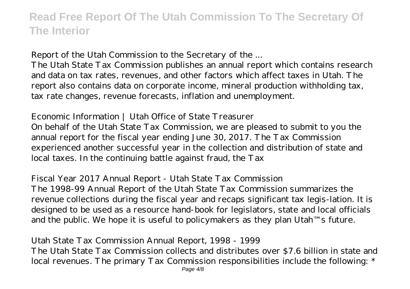### *Report of the Utah Commission to the Secretary of the ...*

The Utah State Tax Commission publishes an annual report which contains research and data on tax rates, revenues, and other factors which affect taxes in Utah. The report also contains data on corporate income, mineral production withholding tax, tax rate changes, revenue forecasts, inflation and unemployment.

### *Economic Information | Utah Office of State Treasurer*

On behalf of the Utah State Tax Commission, we are pleased to submit to you the annual report for the fiscal year ending June 30, 2017. The Tax Commission experienced another successful year in the collection and distribution of state and local taxes. In the continuing battle against fraud, the Tax

### *Fiscal Year 2017 Annual Report - Utah State Tax Commission*

The 1998-99 Annual Report of the Utah State Tax Commission summarizes the revenue collections during the fiscal year and recaps significant tax legis-lation. It is designed to be used as a resource hand-book for legislators, state and local officials and the public. We hope it is useful to policymakers as they plan Utah™s future.

### *Utah State Tax Commission Annual Report, 1998 - 1999*

The Utah State Tax Commission collects and distributes over \$7.6 billion in state and local revenues. The primary Tax Commission responsibilities include the following: \*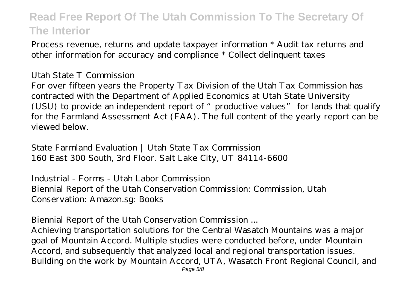Process revenue, returns and update taxpayer information \* Audit tax returns and other information for accuracy and compliance \* Collect delinquent taxes

#### *Utah State T Commission*

For over fifteen years the Property Tax Division of the Utah Tax Commission has contracted with the Department of Applied Economics at Utah State University (USU) to provide an independent report of "productive values" for lands that qualify for the Farmland Assessment Act (FAA). The full content of the yearly report can be viewed below.

*State Farmland Evaluation | Utah State Tax Commission* 160 East 300 South, 3rd Floor. Salt Lake City, UT 84114-6600

*Industrial - Forms - Utah Labor Commission* Biennial Report of the Utah Conservation Commission: Commission, Utah Conservation: Amazon.sg: Books

#### *Biennial Report of the Utah Conservation Commission ...*

Achieving transportation solutions for the Central Wasatch Mountains was a major goal of Mountain Accord. Multiple studies were conducted before, under Mountain Accord, and subsequently that analyzed local and regional transportation issues. Building on the work by Mountain Accord, UTA, Wasatch Front Regional Council, and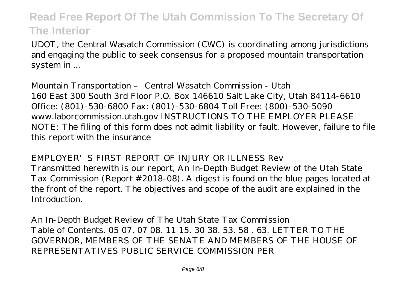UDOT, the Central Wasatch Commission (CWC) is coordinating among jurisdictions and engaging the public to seek consensus for a proposed mountain transportation system in ...

*Mountain Transportation – Central Wasatch Commission - Utah* 160 East 300 South 3rd Floor P.O. Box 146610 Salt Lake City, Utah 84114-6610 Office: (801)-530-6800 Fax: (801)-530-6804 Toll Free: (800)-530-5090 www.laborcommission.utah.gov INSTRUCTIONS TO THE EMPLOYER PLEASE NOTE: The filing of this form does not admit liability or fault. However, failure to file this report with the insurance

#### *EMPLOYER'S FIRST REPORT OF INJURY OR ILLNESS Rev*

Transmitted herewith is our report, An In-Depth Budget Review of the Utah State Tax Commission (Report #2018-08). A digest is found on the blue pages located at the front of the report. The objectives and scope of the audit are explained in the **Introduction** 

*An In-Depth Budget Review of The Utah State Tax Commission* Table of Contents. 05 07. 07 08. 11 15. 30 38. 53. 58 . 63. LETTER TO THE GOVERNOR, MEMBERS OF THE SENATE AND MEMBERS OF THE HOUSE OF REPRESENTATIVES PUBLIC SERVICE COMMISSION PER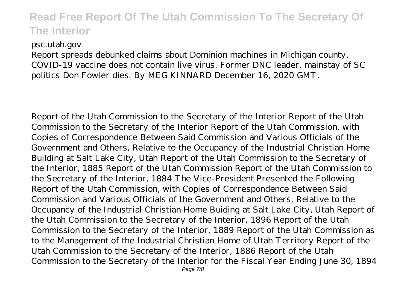#### *psc.utah.gov*

Report spreads debunked claims about Dominion machines in Michigan county. COVID-19 vaccine does not contain live virus. Former DNC leader, mainstay of SC politics Don Fowler dies. By MEG KINNARD December 16, 2020 GMT.

Report of the Utah Commission to the Secretary of the Interior Report of the Utah Commission to the Secretary of the Interior Report of the Utah Commission, with Copies of Correspondence Between Said Commission and Various Officials of the Government and Others, Relative to the Occupancy of the Industrial Christian Home Building at Salt Lake City, Utah Report of the Utah Commission to the Secretary of the Interior, 1885 Report of the Utah Commission Report of the Utah Commission to the Secretary of the Interior, 1884 The Vice-President Presented the Following Report of the Utah Commission, with Copies of Correspondence Between Said Commission and Various Officials of the Government and Others, Relative to the Occupancy of the Industrial Christian Home Buiding at Salt Lake City, Utah Report of the Utah Commission to the Secretary of the Interior, 1896 Report of the Utah Commission to the Secretary of the Interior, 1889 Report of the Utah Commission as to the Management of the Industrial Christian Home of Utah Territory Report of the Utah Commission to the Secretary of the Interior, 1886 Report of the Utah Commission to the Secretary of the Interior for the Fiscal Year Ending June 30, 1894